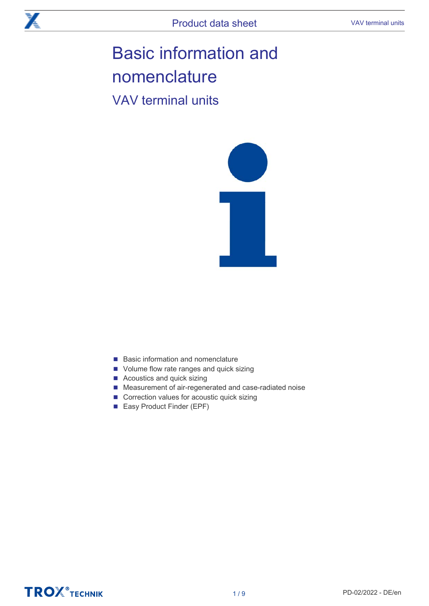# Basic information and nomenclature

VAV terminal units



- Basic information and nomenclature
- Volume flow rate ranges and quick sizing
- Acoustics and quick sizing
- Measurement of air-regenerated and case-radiated noise
- Correction values for acoustic quick sizing
- Easy Product Finder (EPF)

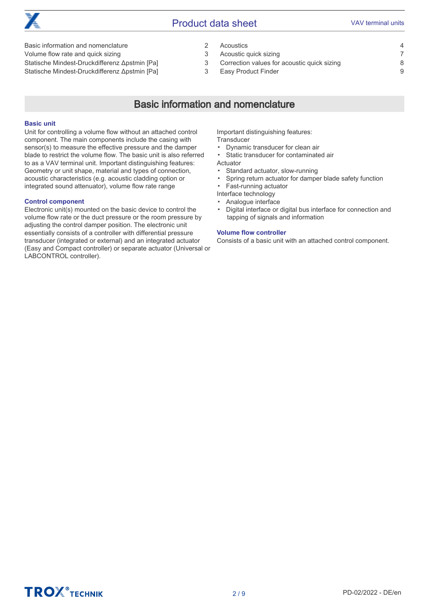

### **Product data sheet VAV terminal units**

Basic information and nomenclature 2

Volume flow rate and quick sizing 3

Statische Mindest-Druckdifferenz Δpstmin [Pa] 3 Statische Mindest-Druckdifferenz Δpstmin [Pa] 3

Acoustics 4 Acoustic quick sizing 7 Correction values for acoustic quick sizing 8 Easy Product Finder 9

# Basic information and nomenclature

#### Basic unit

Unit for controlling a volume flow without an attached control component. The main components include the casing with sensor(s) to measure the effective pressure and the damper blade to restrict the volume flow. The basic unit is also referred to as a VAV terminal unit. Important distinguishing features: Geometry or unit shape, material and types of connection, acoustic characteristics (e.g. acoustic cladding option or integrated sound attenuator), volume flow rate range

#### Control component

Electronic unit(s) mounted on the basic device to control the volume flow rate or the duct pressure or the room pressure by adjusting the control damper position. The electronic unit essentially consists of a controller with differential pressure transducer (integrated or external) and an integrated actuator (Easy and Compact controller) or separate actuator (Universal or LABCONTROL controller).

Important distinguishing features: **Transducer** 

▪ Dynamic transducer for clean air

▪ Static transducer for contaminated air

Actuator

- Standard actuator, slow-running
- Spring return actuator for damper blade safety function
- Fast-running actuator

Interface technology

▪ Analogue interface

▪ Digital interface or digital bus interface for connection and tapping of signals and information

#### Volume flow controller

Consists of a basic unit with an attached control component.

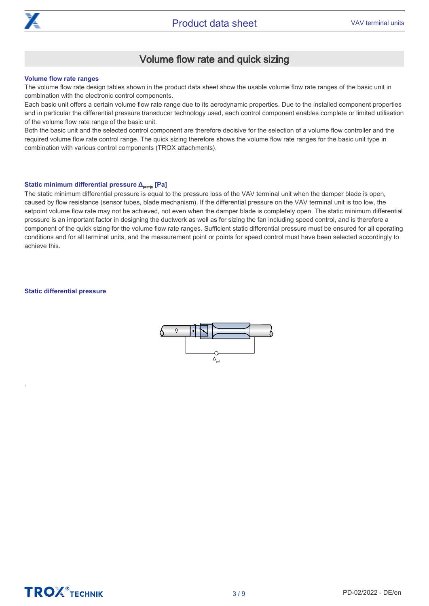

# Volume flow rate and quick sizing

#### Volume flow rate ranges

The volume flow rate design tables shown in the product data sheet show the usable volume flow rate ranges of the basic unit in combination with the electronic control components.

Each basic unit offers a certain volume flow rate range due to its aerodynamic properties. Due to the installed component properties and in particular the differential pressure transducer technology used, each control component enables complete or limited utilisation of the volume flow rate range of the basic unit.

Both the basic unit and the selected control component are therefore decisive for the selection of a volume flow controller and the required volume flow rate control range. The quick sizing therefore shows the volume flow rate ranges for the basic unit type in combination with various control components (TROX attachments).

#### Static minimum differential pressure Δ<sub>pstmin</sub> [Pa]

The static minimum differential pressure is equal to the pressure loss of the VAV terminal unit when the damper blade is open. caused by flow resistance (sensor tubes, blade mechanism). If the differential pressure on the VAV terminal unit is too low, the setpoint volume flow rate may not be achieved, not even when the damper blade is completely open. The static minimum differential pressure is an important factor in designing the ductwork as well as for sizing the fan including speed control, and is therefore a component of the quick sizing for the volume flow rate ranges. Sufficient static differential pressure must be ensured for all operating conditions and for all terminal units, and the measurement point or points for speed control must have been selected accordingly to achieve this.

#### Static differential pressure

.



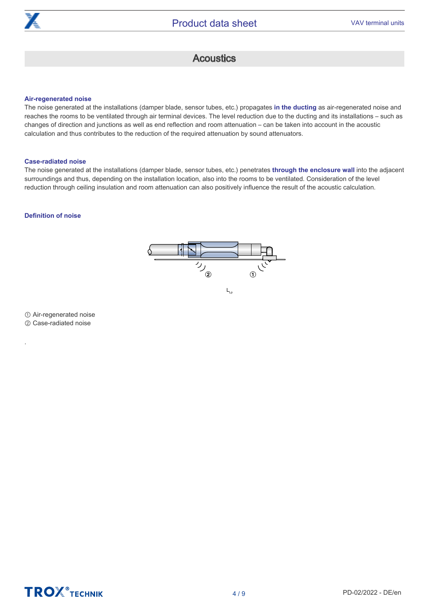

## **Acoustics**

#### Air-regenerated noise

The noise generated at the installations (damper blade, sensor tubes, etc.) propagates in the ducting as air-regenerated noise and reaches the rooms to be ventilated through air terminal devices. The level reduction due to the ducting and its installations – such as changes of direction and junctions as well as end reflection and room attenuation – can be taken into account in the acoustic calculation and thus contributes to the reduction of the required attenuation by sound attenuators.

#### Case-radiated noise

The noise generated at the installations (damper blade, sensor tubes, etc.) penetrates through the enclosure wall into the adjacent surroundings and thus, depending on the installation location, also into the rooms to be ventilated. Consideration of the level reduction through ceiling insulation and room attenuation can also positively influence the result of the acoustic calculation.

#### Definition of noise



① Air-regenerated noise ② Case-radiated noise

.

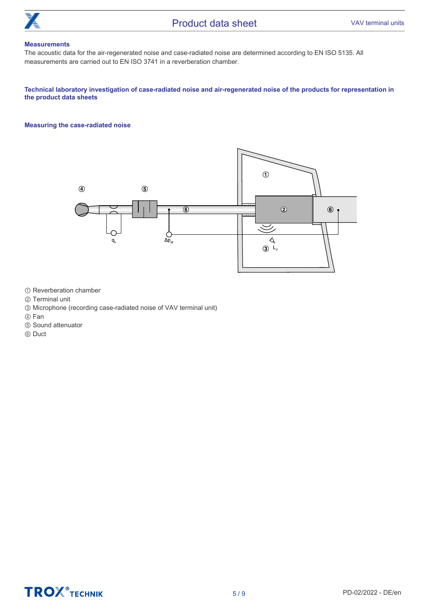

#### **Measurements**

The acoustic data for the air-regenerated noise and case-radiated noise are determined according to EN ISO 5135. All measurements are carried out to EN ISO 3741 in a reverberation chamber.

#### Technical laboratory investigation of case-radiated noise and air-regenerated noise of the products for representation in the product data sheets

#### Measuring the case-radiated noise



- ① Reverberation chamber
- ② Terminal unit
- ③ Microphone (recording case-radiated noise of VAV terminal unit)
- ④ Fan
- ⑤ Sound attenuator
- ⑥ Duct

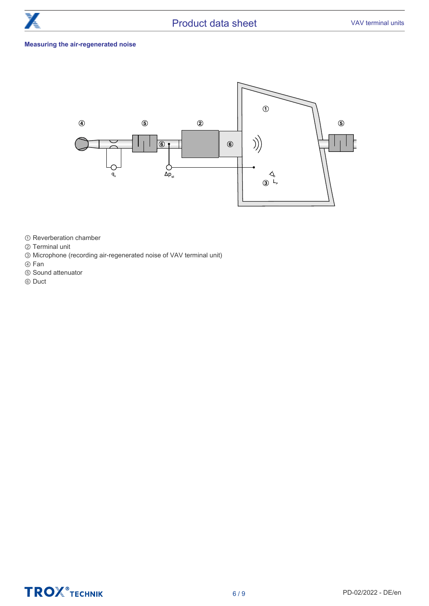

#### Measuring the air-regenerated noise



- ① Reverberation chamber
- ② Terminal unit
- ③ Microphone (recording air-regenerated noise of VAV terminal unit)
- ④ Fan
- ⑤ Sound attenuator
- ⑥ Duct

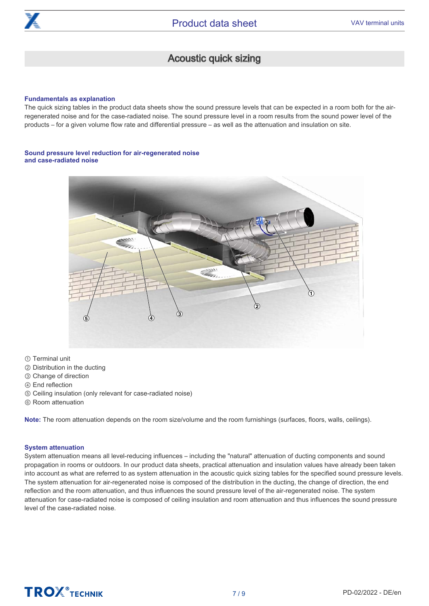

# Acoustic quick sizing

#### Fundamentals as explanation

The quick sizing tables in the product data sheets show the sound pressure levels that can be expected in a room both for the airregenerated noise and for the case-radiated noise. The sound pressure level in a room results from the sound power level of the products – for a given volume flow rate and differential pressure – as well as the attenuation and insulation on site.

#### Sound pressure level reduction for air-regenerated noise and case-radiated noise



① Terminal unit

- ② Distribution in the ducting
- ③ Change of direction
- ④ End reflection
- ⑤ Ceiling insulation (only relevant for case-radiated noise)
- ⑥ Room attenuation

Note: The room attenuation depends on the room size/volume and the room furnishings (surfaces, floors, walls, ceilings).

#### System attenuation

System attenuation means all level-reducing influences – including the "natural" attenuation of ducting components and sound propagation in rooms or outdoors. In our product data sheets, practical attenuation and insulation values have already been taken into account as what are referred to as system attenuation in the acoustic quick sizing tables for the specified sound pressure levels. The system attenuation for air-regenerated noise is composed of the distribution in the ducting, the change of direction, the end reflection and the room attenuation, and thus influences the sound pressure level of the air-regenerated noise. The system attenuation for case-radiated noise is composed of ceiling insulation and room attenuation and thus influences the sound pressure level of the case-radiated noise.

# **TROX**<sup>®</sup>TECHNIK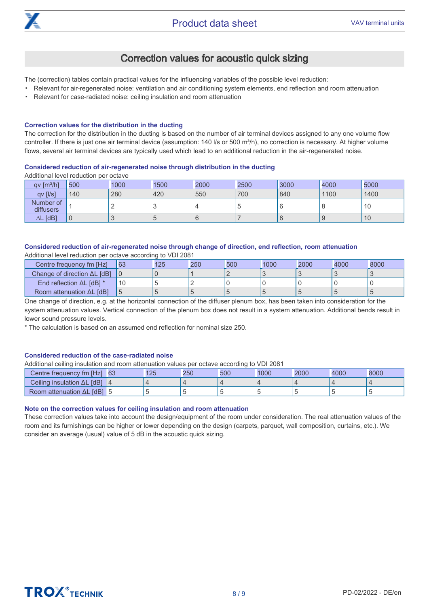

# Correction values for acoustic quick sizing

The (correction) tables contain practical values for the influencing variables of the possible level reduction:

- Relevant for air-regenerated noise: ventilation and air conditioning system elements, end reflection and room attenuation
- Relevant for case-radiated noise: ceiling insulation and room attenuation

#### Correction values for the distribution in the ducting

The correction for the distribution in the ducting is based on the number of air terminal devices assigned to any one volume flow controller. If there is just one air terminal device (assumption: 140 l/s or 500 m<sup>3</sup>/h), no correction is necessary. At higher volume flows, several air terminal devices are typically used which lead to an additional reduction in the air-regenerated noise.

#### Considered reduction of air-regenerated noise through distribution in the ducting

Additional level reduction per octave

| qv [m <sup>3</sup> /h] | 500            | 1000 | 1500 | 2000 | 2500 | 3000 | 4000 | 5000 |
|------------------------|----------------|------|------|------|------|------|------|------|
| qv [l/s]               | 140            | 280  | 420  | 550  | 700  | 840  | 1100 | 1400 |
| Number of<br>diffusers |                | -    |      |      | C    | 6    |      | 10   |
| [dB]<br>ΔL             | $\overline{0}$ |      |      |      |      | O    |      | 10   |

#### Considered reduction of air-regenerated noise through change of direction, end reflection, room attenuation Additional level reduction per octave according to VDI 2081

| Centre frequency fm [Hz]            | 63 | 125 | 250 | 500 | 1000 | 2000 | 4000 | 8000 |
|-------------------------------------|----|-----|-----|-----|------|------|------|------|
| Change of direction $\Delta L$ [dB] |    |     |     |     |      |      |      |      |
| End reflection $\Delta L$ [dB] *    | 10 |     |     |     |      |      |      |      |
| Room attenuation $\Delta L$ [dB]    |    |     |     |     |      |      |      |      |

One change of direction, e.g. at the horizontal connection of the diffuser plenum box, has been taken into consideration for the system attenuation values. Vertical connection of the plenum box does not result in a system attenuation. Additional bends result in lower sound pressure levels.

\* The calculation is based on an assumed end reflection for nominal size 250.

#### Considered reduction of the case-radiated noise

Additional ceiling insulation and room attenuation values per octave according to VDI 2081

| .                                  |     | .   |     |      |      |      |      |
|------------------------------------|-----|-----|-----|------|------|------|------|
| Centre frequency fm [Hz] 63        | 125 | 250 | 500 | 1000 | 2000 | 4000 | 8000 |
| Ceiling insulation $\Delta L$ [dB] |     |     |     |      |      |      |      |
| Room attenuation $\Delta L$ [dB] 5 |     |     |     |      |      |      |      |

#### Note on the correction values for ceiling insulation and room attenuation

These correction values take into account the design/equipment of the room under consideration. The real attenuation values of the room and its furnishings can be higher or lower depending on the design (carpets, parquet, wall composition, curtains, etc.). We consider an average (usual) value of 5 dB in the acoustic quick sizing.